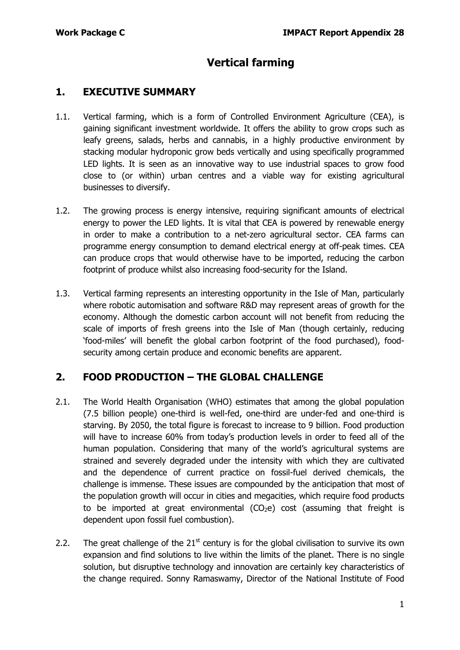# **Vertical farming**

# **1. EXECUTIVE SUMMARY**

- 1.1. Vertical farming, which is a form of Controlled Environment Agriculture (CEA), is gaining significant investment worldwide. It offers the ability to grow crops such as leafy greens, salads, herbs and cannabis, in a highly productive environment by stacking modular hydroponic grow beds vertically and using specifically programmed LED lights. It is seen as an innovative way to use industrial spaces to grow food close to (or within) urban centres and a viable way for existing agricultural businesses to diversify.
- 1.2. The growing process is energy intensive, requiring significant amounts of electrical energy to power the LED lights. It is vital that CEA is powered by renewable energy in order to make a contribution to a net-zero agricultural sector. CEA farms can programme energy consumption to demand electrical energy at off-peak times. CEA can produce crops that would otherwise have to be imported, reducing the carbon footprint of produce whilst also increasing food-security for the Island.
- 1.3. Vertical farming represents an interesting opportunity in the Isle of Man, particularly where robotic automisation and software R&D may represent areas of growth for the economy. Although the domestic carbon account will not benefit from reducing the scale of imports of fresh greens into the Isle of Man (though certainly, reducing 'food-miles' will benefit the global carbon footprint of the food purchased), foodsecurity among certain produce and economic benefits are apparent.

# **2. FOOD PRODUCTION – THE GLOBAL CHALLENGE**

- 2.1. The World Health Organisation (WHO) estimates that among the global population (7.5 billion people) one-third is well-fed, one-third are under-fed and one-third is starving. By 2050, the total figure is forecast to increase to 9 billion. Food production will have to increase 60% from today's production levels in order to feed all of the human population. Considering that many of the world's agricultural systems are strained and severely degraded under the intensity with which they are cultivated and the dependence of current practice on fossil-fuel derived chemicals, the challenge is immense. These issues are compounded by the anticipation that most of the population growth will occur in cities and megacities, which require food products to be imported at great environmental  $(CO<sub>2</sub>e)$  cost (assuming that freight is dependent upon fossil fuel combustion).
- 2.2. The great challenge of the  $21<sup>st</sup>$  century is for the global civilisation to survive its own expansion and find solutions to live within the limits of the planet. There is no single solution, but disruptive technology and innovation are certainly key characteristics of the change required. Sonny Ramaswamy, Director of the National Institute of Food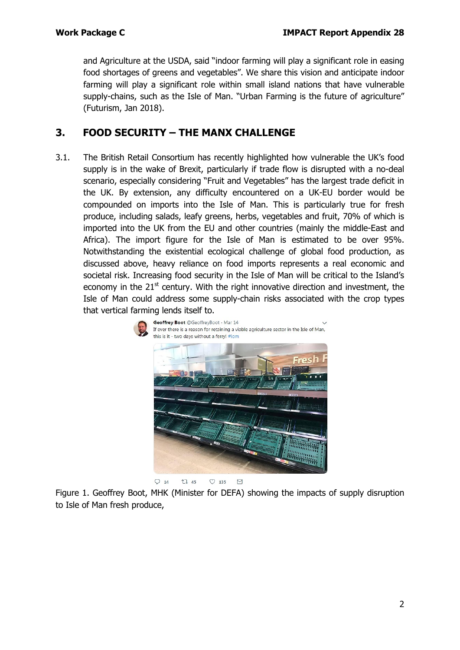and Agriculture at the USDA, said "indoor farming will play a significant role in easing food shortages of greens and vegetables". We share this vision and anticipate indoor farming will play a significant role within small island nations that have vulnerable supply-chains, such as the Isle of Man. "Urban Farming is the future of agriculture" (Futurism, Jan 2018).

# **3. FOOD SECURITY – THE MANX CHALLENGE**

3.1. The British Retail Consortium has recently highlighted how vulnerable the UK's food supply is in the wake of Brexit, particularly if trade flow is disrupted with a no-deal scenario, especially considering "Fruit and Vegetables" has the largest trade deficit in the UK. By extension, any difficulty encountered on a UK-EU border would be compounded on imports into the Isle of Man. This is particularly true for fresh produce, including salads, leafy greens, herbs, vegetables and fruit, 70% of which is imported into the UK from the EU and other countries (mainly the middle-East and Africa). The import figure for the Isle of Man is estimated to be over 95%. Notwithstanding the existential ecological challenge of global food production, as discussed above, heavy reliance on food imports represents a real economic and societal risk. Increasing food security in the Isle of Man will be critical to the Island's economy in the  $21<sup>st</sup>$  century. With the right innovative direction and investment, the Isle of Man could address some supply-chain risks associated with the crop types that vertical farming lends itself to.



Figure 1. Geoffrey Boot, MHK (Minister for DEFA) showing the impacts of supply disruption to Isle of Man fresh produce,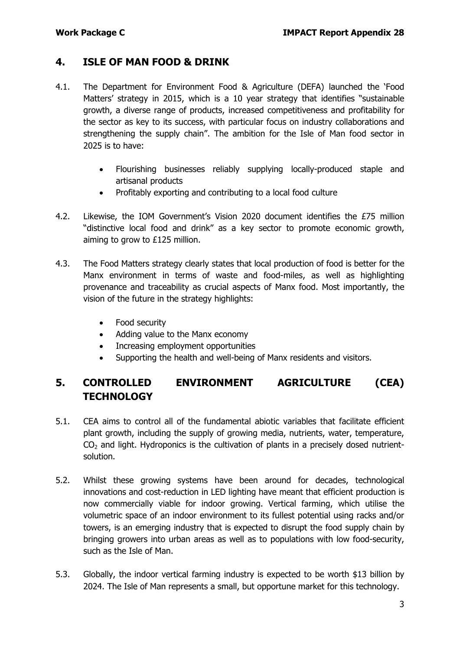### **4. ISLE OF MAN FOOD & DRINK**

- 4.1. The Department for Environment Food & Agriculture (DEFA) launched the 'Food Matters' strategy in 2015, which is a 10 year strategy that identifies "sustainable growth, a diverse range of products, increased competitiveness and profitability for the sector as key to its success, with particular focus on industry collaborations and strengthening the supply chain". The ambition for the Isle of Man food sector in 2025 is to have:
	- Flourishing businesses reliably supplying locally-produced staple and artisanal products
	- Profitably exporting and contributing to a local food culture
- 4.2. Likewise, the IOM Government's Vision 2020 document identifies the £75 million "distinctive local food and drink" as a key sector to promote economic growth, aiming to grow to £125 million.
- 4.3. The Food Matters strategy clearly states that local production of food is better for the Manx environment in terms of waste and food-miles, as well as highlighting provenance and traceability as crucial aspects of Manx food. Most importantly, the vision of the future in the strategy highlights:
	- Food security
	- Adding value to the Manx economy
	- Increasing employment opportunities
	- Supporting the health and well-being of Manx residents and visitors.

# **5. CONTROLLED ENVIRONMENT AGRICULTURE (CEA) TECHNOLOGY**

- 5.1. CEA aims to control all of the fundamental abiotic variables that facilitate efficient plant growth, including the supply of growing media, nutrients, water, temperature,  $CO<sub>2</sub>$  and light. Hydroponics is the cultivation of plants in a precisely dosed nutrientsolution.
- 5.2. Whilst these growing systems have been around for decades, technological innovations and cost-reduction in LED lighting have meant that efficient production is now commercially viable for indoor growing. Vertical farming, which utilise the volumetric space of an indoor environment to its fullest potential using racks and/or towers, is an emerging industry that is expected to disrupt the food supply chain by bringing growers into urban areas as well as to populations with low food-security, such as the Isle of Man.
- 5.3. Globally, the indoor vertical farming industry is expected to be worth \$13 billion by 2024. The Isle of Man represents a small, but opportune market for this technology.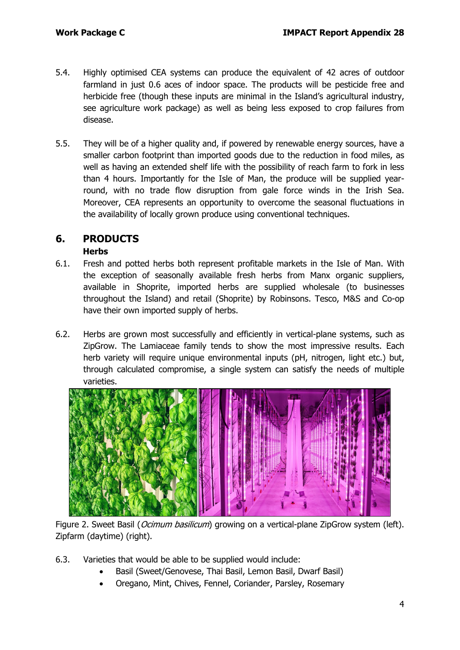- 5.4. Highly optimised CEA systems can produce the equivalent of 42 acres of outdoor farmland in just 0.6 aces of indoor space. The products will be pesticide free and herbicide free (though these inputs are minimal in the Island's agricultural industry, see agriculture work package) as well as being less exposed to crop failures from disease.
- 5.5. They will be of a higher quality and, if powered by renewable energy sources, have a smaller carbon footprint than imported goods due to the reduction in food miles, as well as having an extended shelf life with the possibility of reach farm to fork in less than 4 hours. Importantly for the Isle of Man, the produce will be supplied yearround, with no trade flow disruption from gale force winds in the Irish Sea. Moreover, CEA represents an opportunity to overcome the seasonal fluctuations in the availability of locally grown produce using conventional techniques.

### **6. PRODUCTS**

#### **Herbs**

- 6.1. Fresh and potted herbs both represent profitable markets in the Isle of Man. With the exception of seasonally available fresh herbs from Manx organic suppliers, available in Shoprite, imported herbs are supplied wholesale (to businesses throughout the Island) and retail (Shoprite) by Robinsons. Tesco, M&S and Co-op have their own imported supply of herbs.
- 6.2. Herbs are grown most successfully and efficiently in vertical-plane systems, such as ZipGrow. The Lamiaceae family tends to show the most impressive results. Each herb variety will require unique environmental inputs (pH, nitrogen, light etc.) but, through calculated compromise, a single system can satisfy the needs of multiple varieties.



Figure 2. Sweet Basil (*Ocimum basilicum*) growing on a vertical-plane ZipGrow system (left). Zipfarm (daytime) (right).

- 6.3. Varieties that would be able to be supplied would include:
	- Basil (Sweet/Genovese, Thai Basil, Lemon Basil, Dwarf Basil)
	- Oregano, Mint, Chives, Fennel, Coriander, Parsley, Rosemary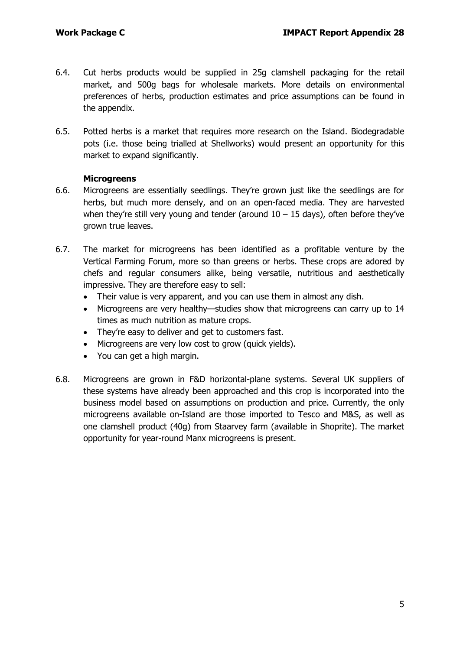- 6.4. Cut herbs products would be supplied in 25g clamshell packaging for the retail market, and 500g bags for wholesale markets. More details on environmental preferences of herbs, production estimates and price assumptions can be found in the appendix.
- 6.5. Potted herbs is a market that requires more research on the Island. Biodegradable pots (i.e. those being trialled at Shellworks) would present an opportunity for this market to expand significantly.

#### **Microgreens**

- 6.6. Microgreens are essentially seedlings. They're grown just like the seedlings are for herbs, but much more densely, and on an open-faced media. They are harvested when they're still very young and tender (around  $10 - 15$  days), often before they've grown true leaves.
- 6.7. The market for microgreens has been identified as a profitable venture by the Vertical Farming Forum, more so than greens or herbs. These crops are adored by chefs and regular consumers alike, being versatile, nutritious and aesthetically impressive. They are therefore easy to sell:
	- Their value is very apparent, and you can use them in almost any dish.
	- Microgreens are very healthy—studies show that microgreens can carry up to 14 times as much nutrition as mature crops.
	- They're easy to deliver and get to customers fast.
	- Microgreens are very low cost to grow (quick yields).
	- You can get a high margin.
- 6.8. Microgreens are grown in F&D horizontal-plane systems. Several UK suppliers of these systems have already been approached and this crop is incorporated into the business model based on assumptions on production and price. Currently, the only microgreens available on-Island are those imported to Tesco and M&S, as well as one clamshell product (40g) from Staarvey farm (available in Shoprite). The market opportunity for year-round Manx microgreens is present.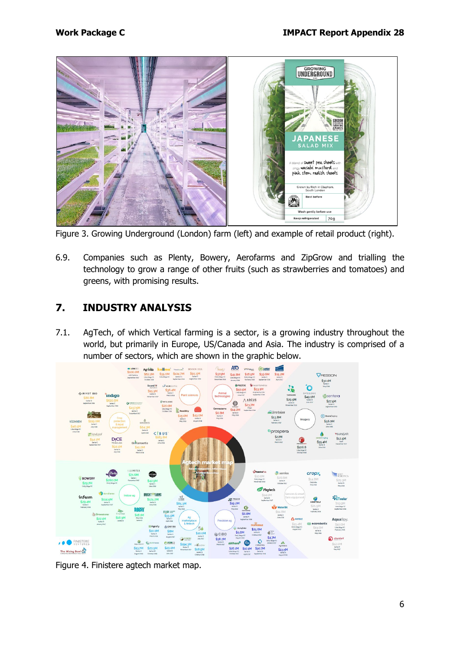

Figure 3. Growing Underground (London) farm (left) and example of retail product (right).

6.9. Companies such as Plenty, Bowery, Aerofarms and ZipGrow and trialling the technology to grow a range of other fruits (such as strawberries and tomatoes) and greens, with promising results.

# **7. INDUSTRY ANALYSIS**

7.1. AgTech, of which Vertical farming is a sector, is a growing industry throughout the world, but primarily in Europe, US/Canada and Asia. The industry is comprised of a number of sectors, which are shown in the graphic below.



Figure 4. Finistere agtech market map.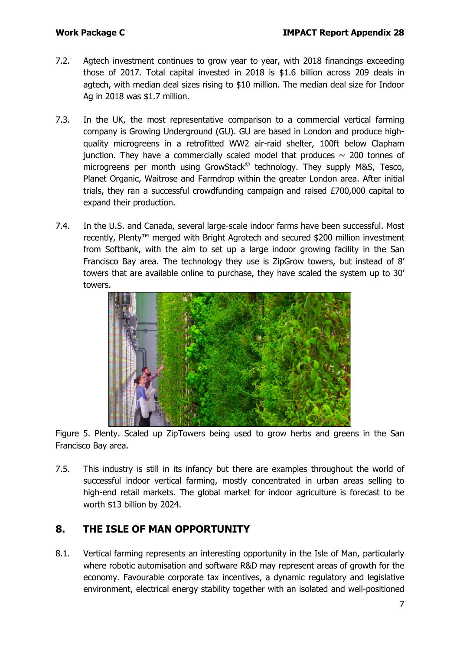- 7.2. Agtech investment continues to grow year to year, with 2018 financings exceeding those of 2017. Total capital invested in 2018 is \$1.6 billion across 209 deals in agtech, with median deal sizes rising to \$10 million. The median deal size for Indoor Ag in 2018 was \$1.7 million.
- 7.3. In the UK, the most representative comparison to a commercial vertical farming company is Growing Underground (GU). GU are based in London and produce highquality microgreens in a retrofitted WW2 air-raid shelter, 100ft below Clapham junction. They have a commercially scaled model that produces  $\sim$  200 tonnes of microgreens per month using GrowStack<sup>©</sup> technology. They supply M&S, Tesco, Planet Organic, Waitrose and Farmdrop within the greater London area. After initial trials, they ran a successful crowdfunding campaign and raised £700,000 capital to expand their production.
- 7.4. In the U.S. and Canada, several large-scale indoor farms have been successful. Most recently, Plenty<sup>™</sup> merged with Bright Agrotech and secured \$200 million investment from Softbank, with the aim to set up a large indoor growing facility in the San Francisco Bay area. The technology they use is ZipGrow towers, but instead of 8' towers that are available online to purchase, they have scaled the system up to 30' towers.



Figure 5. Plenty. Scaled up ZipTowers being used to grow herbs and greens in the San Francisco Bay area.

7.5. This industry is still in its infancy but there are examples throughout the world of successful indoor vertical farming, mostly concentrated in urban areas selling to high-end retail markets. The global market for indoor agriculture is forecast to be worth \$13 billion by 2024.

# **8. THE ISLE OF MAN OPPORTUNITY**

8.1. Vertical farming represents an interesting opportunity in the Isle of Man, particularly where robotic automisation and software R&D may represent areas of growth for the economy. Favourable corporate tax incentives, a dynamic regulatory and legislative environment, electrical energy stability together with an isolated and well-positioned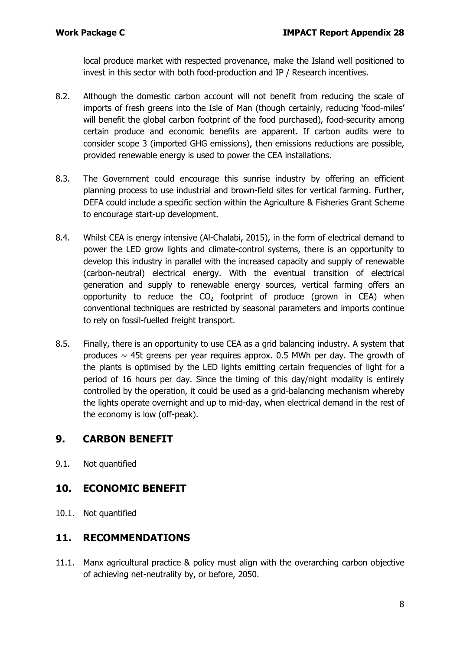local produce market with respected provenance, make the Island well positioned to invest in this sector with both food-production and IP / Research incentives.

- 8.2. Although the domestic carbon account will not benefit from reducing the scale of imports of fresh greens into the Isle of Man (though certainly, reducing 'food-miles' will benefit the global carbon footprint of the food purchased), food-security among certain produce and economic benefits are apparent. If carbon audits were to consider scope 3 (imported GHG emissions), then emissions reductions are possible, provided renewable energy is used to power the CEA installations.
- 8.3. The Government could encourage this sunrise industry by offering an efficient planning process to use industrial and brown-field sites for vertical farming. Further, DEFA could include a specific section within the Agriculture & Fisheries Grant Scheme to encourage start-up development.
- 8.4. Whilst CEA is energy intensive (Al-Chalabi, 2015), in the form of electrical demand to power the LED grow lights and climate-control systems, there is an opportunity to develop this industry in parallel with the increased capacity and supply of renewable (carbon-neutral) electrical energy. With the eventual transition of electrical generation and supply to renewable energy sources, vertical farming offers an opportunity to reduce the  $CO<sub>2</sub>$  footprint of produce (grown in CEA) when conventional techniques are restricted by seasonal parameters and imports continue to rely on fossil-fuelled freight transport.
- 8.5. Finally, there is an opportunity to use CEA as a grid balancing industry. A system that produces  $\sim$  45t greens per year requires approx. 0.5 MWh per day. The growth of the plants is optimised by the LED lights emitting certain frequencies of light for a period of 16 hours per day. Since the timing of this day/night modality is entirely controlled by the operation, it could be used as a grid-balancing mechanism whereby the lights operate overnight and up to mid-day, when electrical demand in the rest of the economy is low (off-peak).

### **9. CARBON BENEFIT**

9.1. Not quantified

### **10. ECONOMIC BENEFIT**

10.1. Not quantified

### **11. RECOMMENDATIONS**

11.1. Manx agricultural practice & policy must align with the overarching carbon objective of achieving net-neutrality by, or before, 2050.